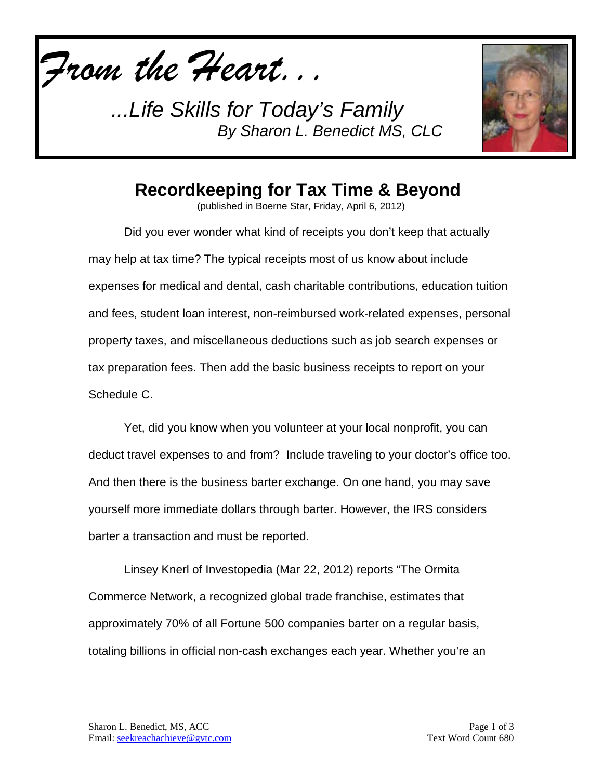*From the Heart...*

*...Life Skills for Today's Family By Sharon L. Benedict MS, CLC*



## **Recordkeeping for Tax Time & Beyond**

(published in Boerne Star, Friday, April 6, 2012)

Did you ever wonder what kind of receipts you don't keep that actually may help at tax time? The typical receipts most of us know about include expenses for medical and dental, cash charitable contributions, education tuition and fees, student loan interest, non-reimbursed work-related expenses, personal property taxes, and miscellaneous deductions such as job search expenses or tax preparation fees. Then add the basic business receipts to report on your Schedule C.

Yet, did you know when you volunteer at your local nonprofit, you can deduct travel expenses to and from? Include traveling to your doctor's office too. And then there is the business barter exchange. On one hand, you may save yourself more immediate dollars through barter. However, the IRS considers barter a transaction and must be reported.

Linsey Knerl of Investopedia (Mar 22, 2012) reports "The Ormita Commerce Network, a recognized global trade franchise, estimates that approximately 70% of all Fortune 500 companies barter on a regular basis, totaling billions in official non-cash exchanges each year. Whether you're an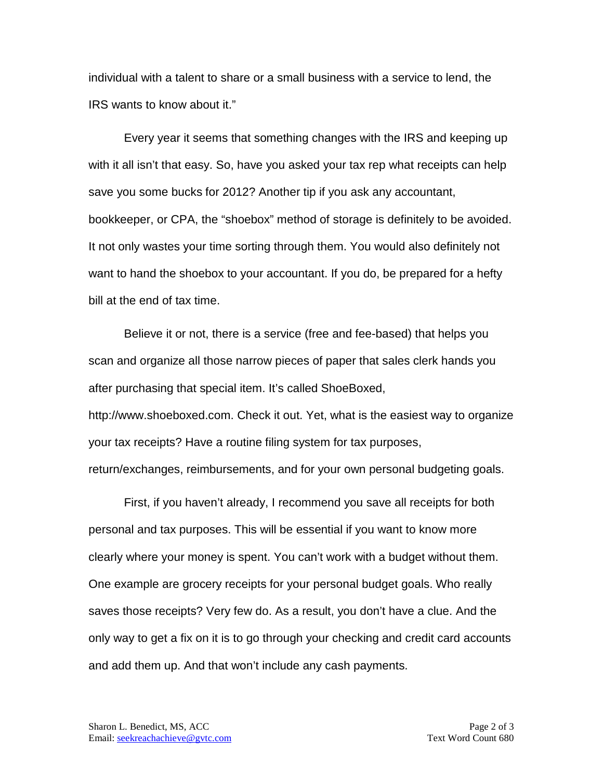individual with a talent to share or a small business with a service to lend, the IRS wants to know about it."

Every year it seems that something changes with the IRS and keeping up with it all isn't that easy. So, have you asked your tax rep what receipts can help save you some bucks for 2012? Another tip if you ask any accountant, bookkeeper, or CPA, the "shoebox" method of storage is definitely to be avoided. It not only wastes your time sorting through them. You would also definitely not want to hand the shoebox to your accountant. If you do, be prepared for a hefty bill at the end of tax time.

Believe it or not, there is a service (free and fee-based) that helps you scan and organize all those narrow pieces of paper that sales clerk hands you after purchasing that special item. It's called ShoeBoxed, http://www.shoeboxed.com. Check it out. Yet, what is the easiest way to organize your tax receipts? Have a routine filing system for tax purposes, return/exchanges, reimbursements, and for your own personal budgeting goals.

First, if you haven't already, I recommend you save all receipts for both personal and tax purposes. This will be essential if you want to know more clearly where your money is spent. You can't work with a budget without them. One example are grocery receipts for your personal budget goals. Who really saves those receipts? Very few do. As a result, you don't have a clue. And the only way to get a fix on it is to go through your checking and credit card accounts and add them up. And that won't include any cash payments.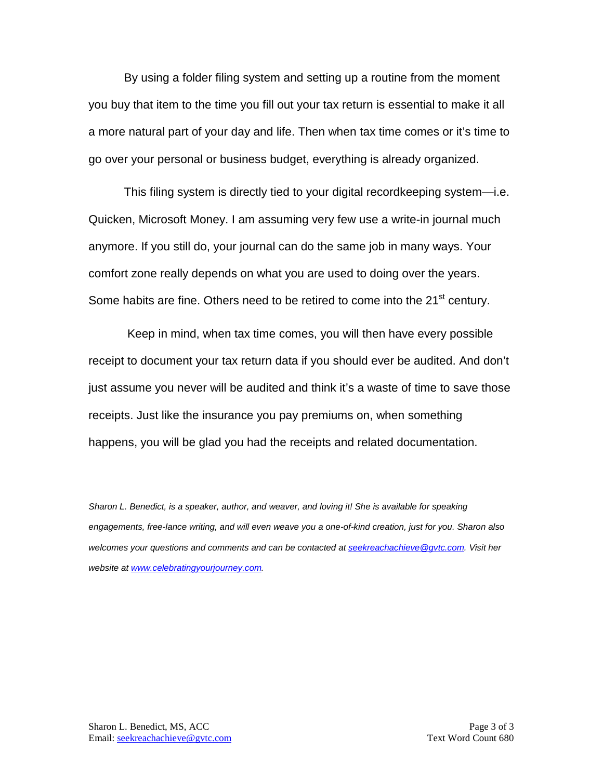By using a folder filing system and setting up a routine from the moment you buy that item to the time you fill out your tax return is essential to make it all a more natural part of your day and life. Then when tax time comes or it's time to go over your personal or business budget, everything is already organized.

This filing system is directly tied to your digital recordkeeping system—i.e. Quicken, Microsoft Money. I am assuming very few use a write-in journal much anymore. If you still do, your journal can do the same job in many ways. Your comfort zone really depends on what you are used to doing over the years. Some habits are fine. Others need to be retired to come into the 21<sup>st</sup> century.

Keep in mind, when tax time comes, you will then have every possible receipt to document your tax return data if you should ever be audited. And don't just assume you never will be audited and think it's a waste of time to save those receipts. Just like the insurance you pay premiums on, when something happens, you will be glad you had the receipts and related documentation.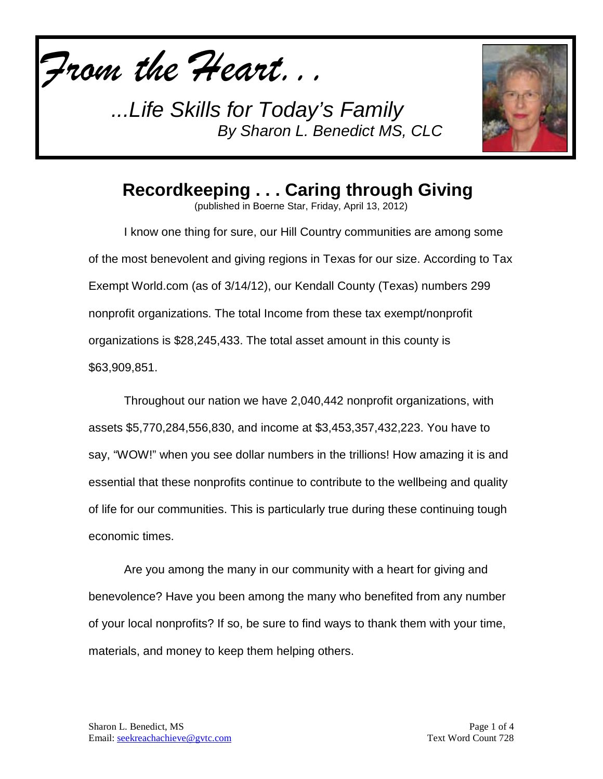

*...Life Skills for Today's Family By Sharon L. Benedict MS, CLC*



**Recordkeeping . . . Caring through Giving**

(published in Boerne Star, Friday, April 13, 2012)

I know one thing for sure, our Hill Country communities are among some of the most benevolent and giving regions in Texas for our size. According to Tax Exempt World.com (as of 3/14/12), our Kendall County (Texas) numbers 299 nonprofit organizations. The total Income from these tax exempt/nonprofit organizations is \$28,245,433. The total asset amount in this county is \$63,909,851.

Throughout our nation we have 2,040,442 nonprofit organizations, with assets \$5,770,284,556,830, and income at \$3,453,357,432,223. You have to say, "WOW!" when you see dollar numbers in the trillions! How amazing it is and essential that these nonprofits continue to contribute to the wellbeing and quality of life for our communities. This is particularly true during these continuing tough economic times.

Are you among the many in our community with a heart for giving and benevolence? Have you been among the many who benefited from any number of your local nonprofits? If so, be sure to find ways to thank them with your time, materials, and money to keep them helping others.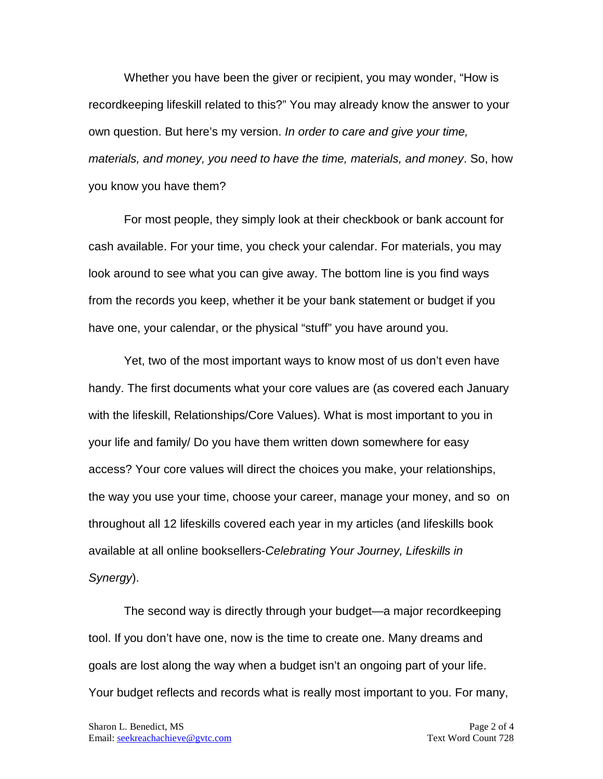Whether you have been the giver or recipient, you may wonder, "How is recordkeeping lifeskill related to this?" You may already know the answer to your own question. But here's my version. *In order to care and give your time, materials, and money, you need to have the time, materials, and money*. So, how you know you have them?

For most people, they simply look at their checkbook or bank account for cash available. For your time, you check your calendar. For materials, you may look around to see what you can give away. The bottom line is you find ways from the records you keep, whether it be your bank statement or budget if you have one, your calendar, or the physical "stuff" you have around you.

Yet, two of the most important ways to know most of us don't even have handy. The first documents what your core values are (as covered each January with the lifeskill, Relationships/Core Values). What is most important to you in your life and family/ Do you have them written down somewhere for easy access? Your core values will direct the choices you make, your relationships, the way you use your time, choose your career, manage your money, and so on throughout all 12 lifeskills covered each year in my articles (and lifeskills book available at all online booksellers-*Celebrating Your Journey, Lifeskills in Synergy*).

The second way is directly through your budget—a major recordkeeping tool. If you don't have one, now is the time to create one. Many dreams and goals are lost along the way when a budget isn't an ongoing part of your life. Your budget reflects and records what is really most important to you. For many,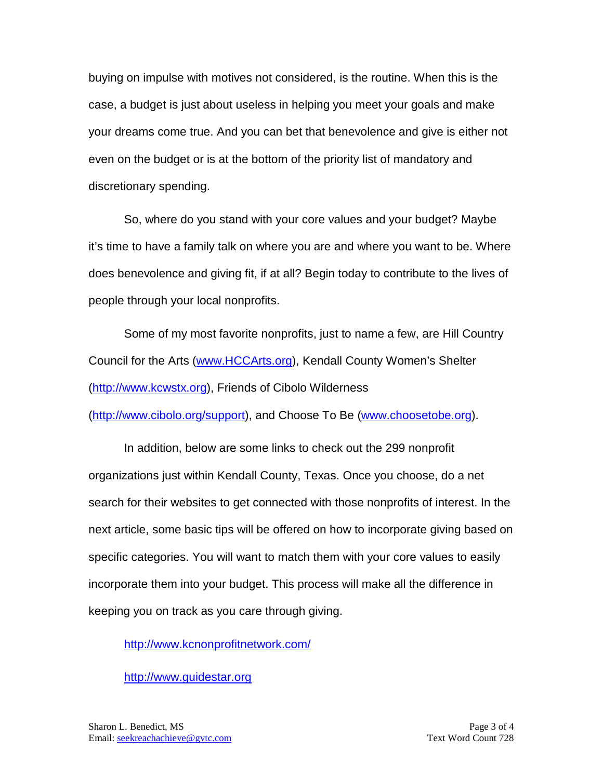buying on impulse with motives not considered, is the routine. When this is the case, a budget is just about useless in helping you meet your goals and make your dreams come true. And you can bet that benevolence and give is either not even on the budget or is at the bottom of the priority list of mandatory and discretionary spending.

So, where do you stand with your core values and your budget? Maybe it's time to have a family talk on where you are and where you want to be. Where does benevolence and giving fit, if at all? Begin today to contribute to the lives of people through your local nonprofits.

Some of my most favorite nonprofits, just to name a few, are Hill Country Council for the Arts [\(www.HCCArts.org\)](http://www.hccarts.org/), Kendall County Women's Shelter [\(http://www.kcwstx.org\)](http://www.kcwstx.org/), Friends of Cibolo Wilderness [\(http://www.cibolo.org/support\)](http://www.cibolo.org/support), and Choose To Be [\(www.choosetobe.org\)](http://www.choosetobe.org/).

In addition, below are some links to check out the 299 nonprofit organizations just within Kendall County, Texas. Once you choose, do a net search for their websites to get connected with those nonprofits of interest. In the next article, some basic tips will be offered on how to incorporate giving based on specific categories. You will want to match them with your core values to easily incorporate them into your budget. This process will make all the difference in keeping you on track as you care through giving.

<http://www.kcnonprofitnetwork.com/>

[http://www.guidestar.org](http://www.guidestar.org/)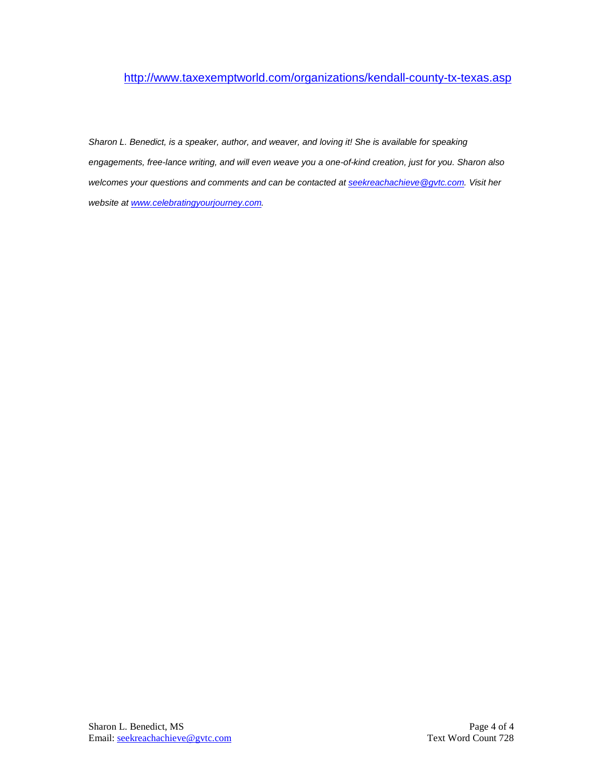## <http://www.taxexemptworld.com/organizations/kendall-county-tx-texas.asp>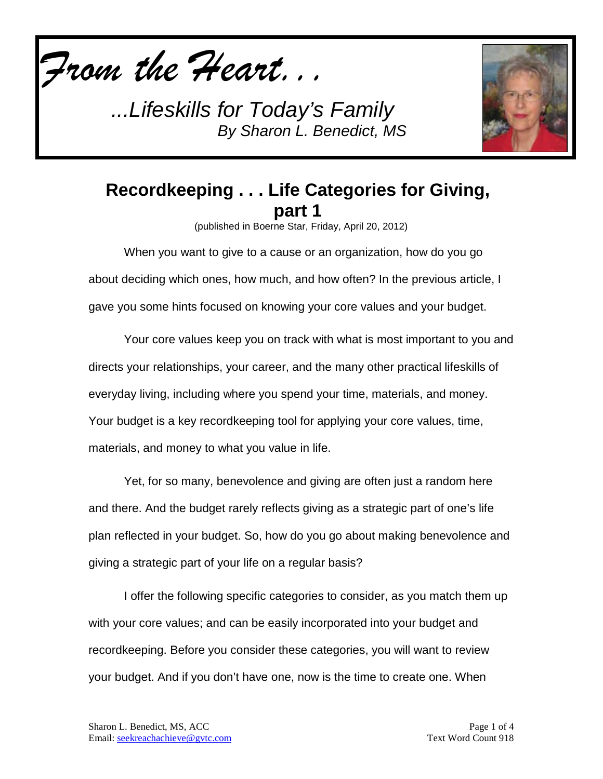

*...Lifeskills for Today's Family By Sharon L. Benedict, MS*



## **Recordkeeping . . . Life Categories for Giving, part 1**

(published in Boerne Star, Friday, April 20, 2012)

When you want to give to a cause or an organization, how do you go about deciding which ones, how much, and how often? In the previous article, I gave you some hints focused on knowing your core values and your budget.

Your core values keep you on track with what is most important to you and directs your relationships, your career, and the many other practical lifeskills of everyday living, including where you spend your time, materials, and money. Your budget is a key recordkeeping tool for applying your core values, time, materials, and money to what you value in life.

Yet, for so many, benevolence and giving are often just a random here and there. And the budget rarely reflects giving as a strategic part of one's life plan reflected in your budget. So, how do you go about making benevolence and giving a strategic part of your life on a regular basis?

I offer the following specific categories to consider, as you match them up with your core values; and can be easily incorporated into your budget and recordkeeping. Before you consider these categories, you will want to review your budget. And if you don't have one, now is the time to create one. When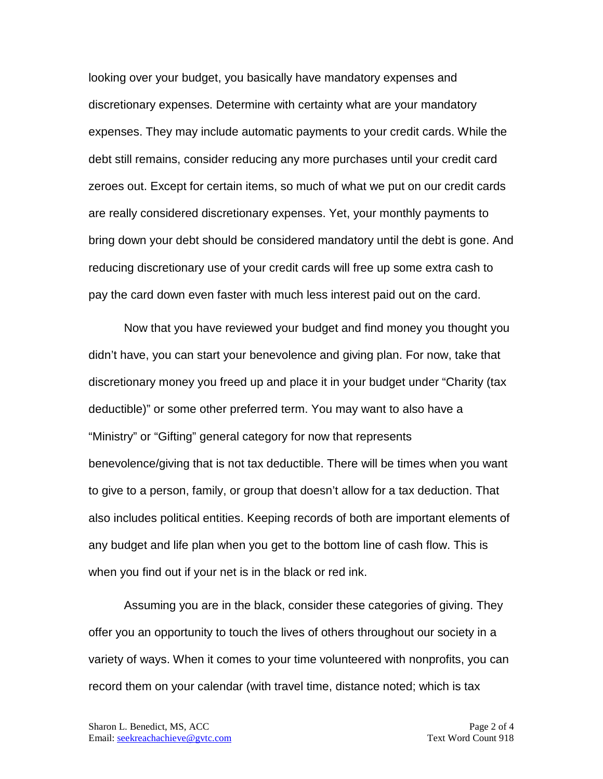looking over your budget, you basically have mandatory expenses and discretionary expenses. Determine with certainty what are your mandatory expenses. They may include automatic payments to your credit cards. While the debt still remains, consider reducing any more purchases until your credit card zeroes out. Except for certain items, so much of what we put on our credit cards are really considered discretionary expenses. Yet, your monthly payments to bring down your debt should be considered mandatory until the debt is gone. And reducing discretionary use of your credit cards will free up some extra cash to pay the card down even faster with much less interest paid out on the card.

Now that you have reviewed your budget and find money you thought you didn't have, you can start your benevolence and giving plan. For now, take that discretionary money you freed up and place it in your budget under "Charity (tax deductible)" or some other preferred term. You may want to also have a "Ministry" or "Gifting" general category for now that represents benevolence/giving that is not tax deductible. There will be times when you want to give to a person, family, or group that doesn't allow for a tax deduction. That also includes political entities. Keeping records of both are important elements of any budget and life plan when you get to the bottom line of cash flow. This is when you find out if your net is in the black or red ink.

Assuming you are in the black, consider these categories of giving. They offer you an opportunity to touch the lives of others throughout our society in a variety of ways. When it comes to your time volunteered with nonprofits, you can record them on your calendar (with travel time, distance noted; which is tax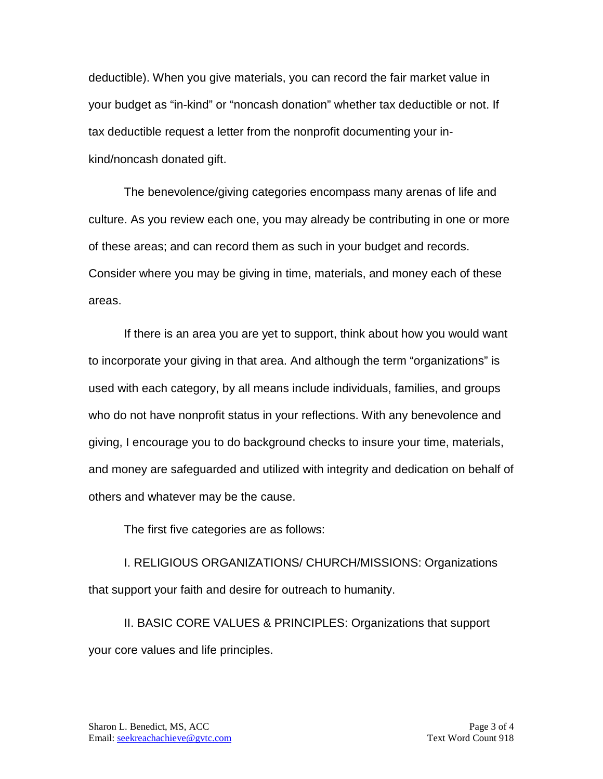deductible). When you give materials, you can record the fair market value in your budget as "in-kind" or "noncash donation" whether tax deductible or not. If tax deductible request a letter from the nonprofit documenting your inkind/noncash donated gift.

The benevolence/giving categories encompass many arenas of life and culture. As you review each one, you may already be contributing in one or more of these areas; and can record them as such in your budget and records. Consider where you may be giving in time, materials, and money each of these areas.

If there is an area you are yet to support, think about how you would want to incorporate your giving in that area. And although the term "organizations" is used with each category, by all means include individuals, families, and groups who do not have nonprofit status in your reflections. With any benevolence and giving, I encourage you to do background checks to insure your time, materials, and money are safeguarded and utilized with integrity and dedication on behalf of others and whatever may be the cause.

The first five categories are as follows:

I. RELIGIOUS ORGANIZATIONS/ CHURCH/MISSIONS: Organizations that support your faith and desire for outreach to humanity.

II. BASIC CORE VALUES & PRINCIPLES: Organizations that support your core values and life principles.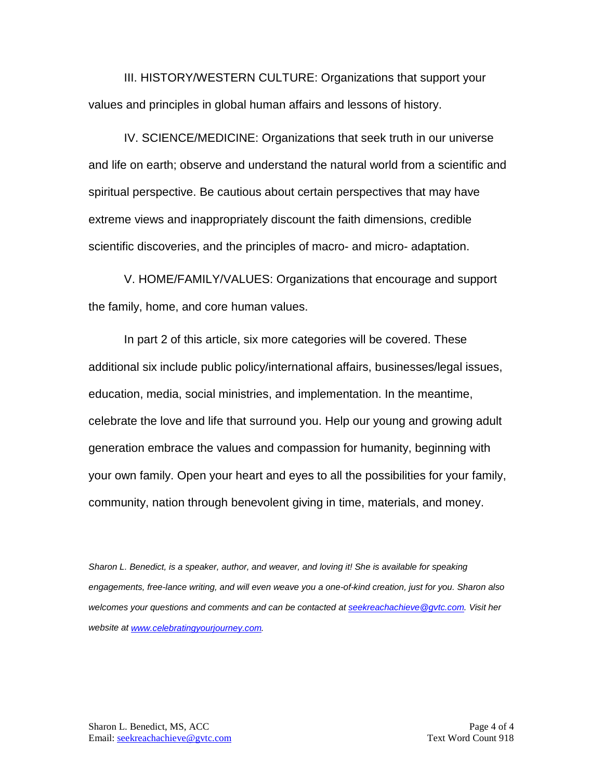III. HISTORY/WESTERN CULTURE: Organizations that support your values and principles in global human affairs and lessons of history.

IV. SCIENCE/MEDICINE: Organizations that seek truth in our universe and life on earth; observe and understand the natural world from a scientific and spiritual perspective. Be cautious about certain perspectives that may have extreme views and inappropriately discount the faith dimensions, credible scientific discoveries, and the principles of macro- and micro- adaptation.

V. HOME/FAMILY/VALUES: Organizations that encourage and support the family, home, and core human values.

In part 2 of this article, six more categories will be covered. These additional six include public policy/international affairs, businesses/legal issues, education, media, social ministries, and implementation. In the meantime, celebrate the love and life that surround you. Help our young and growing adult generation embrace the values and compassion for humanity, beginning with your own family. Open your heart and eyes to all the possibilities for your family, community, nation through benevolent giving in time, materials, and money.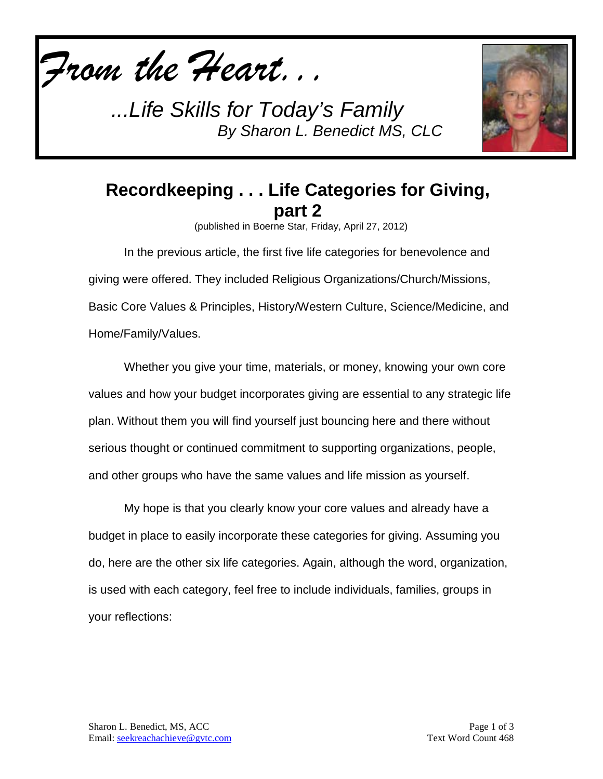

*...Life Skills for Today's Family By Sharon L. Benedict MS, CLC*



## **Recordkeeping . . . Life Categories for Giving, part 2**

(published in Boerne Star, Friday, April 27, 2012)

In the previous article, the first five life categories for benevolence and giving were offered. They included Religious Organizations/Church/Missions, Basic Core Values & Principles, History/Western Culture, Science/Medicine, and Home/Family/Values.

Whether you give your time, materials, or money, knowing your own core values and how your budget incorporates giving are essential to any strategic life plan. Without them you will find yourself just bouncing here and there without serious thought or continued commitment to supporting organizations, people, and other groups who have the same values and life mission as yourself.

My hope is that you clearly know your core values and already have a budget in place to easily incorporate these categories for giving. Assuming you do, here are the other six life categories. Again, although the word, organization, is used with each category, feel free to include individuals, families, groups in your reflections: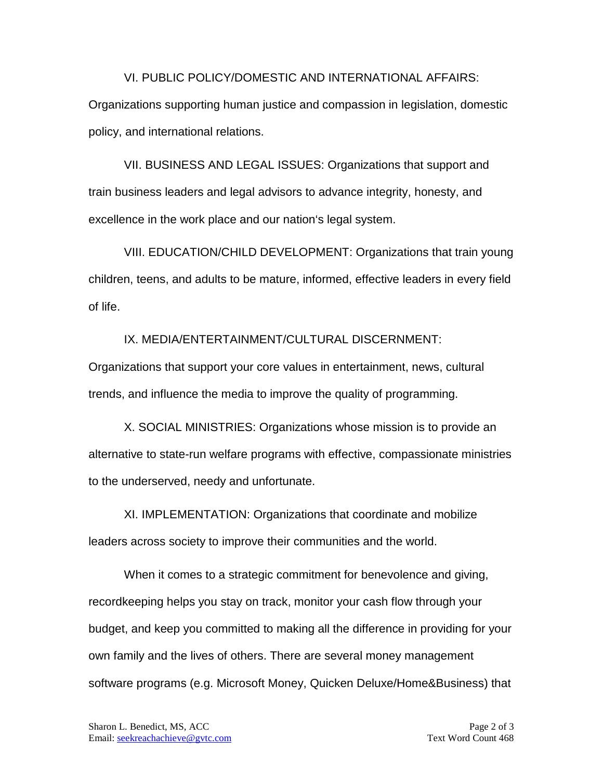VI. PUBLIC POLICY/DOMESTIC AND INTERNATIONAL AFFAIRS: Organizations supporting human justice and compassion in legislation, domestic policy, and international relations.

VII. BUSINESS AND LEGAL ISSUES: Organizations that support and train business leaders and legal advisors to advance integrity, honesty, and excellence in the work place and our nation's legal system.

VIII. EDUCATION/CHILD DEVELOPMENT: Organizations that train young children, teens, and adults to be mature, informed, effective leaders in every field of life.

IX. MEDIA/ENTERTAINMENT/CULTURAL DISCERNMENT:

Organizations that support your core values in entertainment, news, cultural trends, and influence the media to improve the quality of programming.

X. SOCIAL MINISTRIES: Organizations whose mission is to provide an alternative to state-run welfare programs with effective, compassionate ministries to the underserved, needy and unfortunate.

XI. IMPLEMENTATION: Organizations that coordinate and mobilize leaders across society to improve their communities and the world.

When it comes to a strategic commitment for benevolence and giving, recordkeeping helps you stay on track, monitor your cash flow through your budget, and keep you committed to making all the difference in providing for your own family and the lives of others. There are several money management software programs (e.g. Microsoft Money, Quicken Deluxe/Home&Business) that